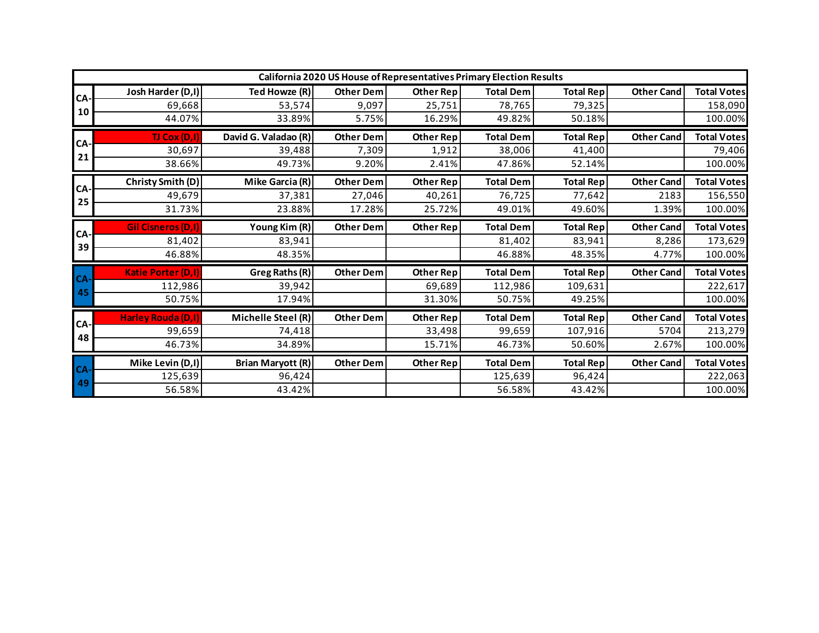| California 2020 US House of Representatives Primary Election Results |                           |                          |                  |                  |                  |                  |                   |                    |  |  |
|----------------------------------------------------------------------|---------------------------|--------------------------|------------------|------------------|------------------|------------------|-------------------|--------------------|--|--|
| CA.<br>10                                                            | Josh Harder (D,I)         | Ted Howze (R)            | <b>Other Dem</b> | Other Rep        | <b>Total Dem</b> | <b>Total Rep</b> | <b>Other Cand</b> | <b>Total Votes</b> |  |  |
|                                                                      | 69,668                    | 53,574                   | 9,097            | 25,751           | 78,765           | 79,325           |                   | 158,090            |  |  |
|                                                                      | 44.07%                    | 33.89%                   | 5.75%            | 16.29%           | 49.82%           | 50.18%           |                   | 100.00%            |  |  |
| CA.<br>21                                                            | TJ Cox (D,I)              | David G. Valadao (R)     | <b>Other Dem</b> | <b>Other Rep</b> | <b>Total Dem</b> | <b>Total Rep</b> | <b>Other Cand</b> | <b>Total Votes</b> |  |  |
|                                                                      | 30,697                    | 39,488                   | 7,309            | 1,912            | 38,006           | 41,400           |                   | 79,406             |  |  |
|                                                                      | 38.66%                    | 49.73%                   | 9.20%            | 2.41%            | 47.86%           | 52.14%           |                   | 100.00%            |  |  |
| CA-                                                                  | Christy Smith (D)         | Mike Garcia (R)          | <b>Other Dem</b> | Other Rep        | <b>Total Dem</b> | <b>Total Rep</b> | <b>Other Cand</b> | <b>Total Votes</b> |  |  |
|                                                                      | 49,679                    | 37,381                   | 27,046           | 40,261           | 76,725           | 77,642           | 2183              | 156,550            |  |  |
| 25                                                                   | 31.73%                    | 23.88%                   | 17.28%           | 25.72%           | 49.01%           | 49.60%           | 1.39%             | 100.00%            |  |  |
| CA.<br>39                                                            | <b>Gil Cisneros (D,I)</b> | Young Kim (R)            | <b>Other Dem</b> | Other Rep        | <b>Total Dem</b> | <b>Total Rep</b> | <b>Other Cand</b> | <b>Total Votes</b> |  |  |
|                                                                      | 81,402                    | 83,941                   |                  |                  | 81,402           | 83,941           | 8,286             | 173,629            |  |  |
|                                                                      | 46.88%                    | 48.35%                   |                  |                  | 46.88%           | 48.35%           | 4.77%             | 100.00%            |  |  |
| CA-                                                                  | <b>Katie Porter (D,I)</b> |                          |                  |                  |                  |                  |                   |                    |  |  |
|                                                                      |                           | Greg Raths (R)           | <b>Other Dem</b> | Other Rep        | <b>Total Dem</b> | <b>Total Rep</b> | <b>Other Cand</b> | <b>Total Votes</b> |  |  |
|                                                                      | 112,986                   | 39,942                   |                  | 69,689           | 112,986          | 109,631          |                   | 222,617            |  |  |
| 45                                                                   | 50.75%                    | 17.94%                   |                  | 31.30%           | 50.75%           | 49.25%           |                   | 100.00%            |  |  |
|                                                                      | <b>Harley Rouda (D,I)</b> | Michelle Steel (R)       | <b>Other Dem</b> | Other Rep        | <b>Total Dem</b> | <b>Total Rep</b> | <b>Other Cand</b> | <b>Total Votes</b> |  |  |
| CA.                                                                  | 99,659                    | 74,418                   |                  | 33,498           | 99,659           | 107,916          | 5704              | 213,279            |  |  |
| 48                                                                   | 46.73%                    | 34.89%                   |                  | 15.71%           | 46.73%           | 50.60%           | 2.67%             | 100.00%            |  |  |
|                                                                      | Mike Levin (D,I)          | <b>Brian Maryott (R)</b> | <b>Other Dem</b> | <b>Other Rep</b> | <b>Total Dem</b> | <b>Total Rep</b> | <b>Other Cand</b> | <b>Total Votes</b> |  |  |
| CA-<br>49                                                            | 125,639                   | 96,424                   |                  |                  | 125,639          | 96,424           |                   | 222,063            |  |  |